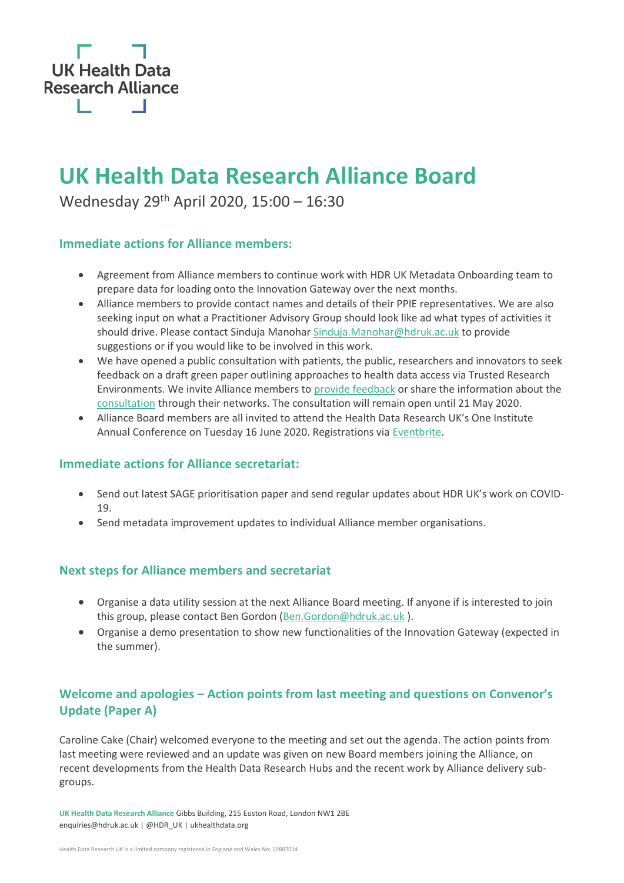

# **UK Health Data Research Alliance Board**

Wednesday 29<sup>th</sup> April 2020, 15:00 - 16:30

## **Immediate actions for Alliance members:**

- Agreement from Alliance members to continue work with HDR UK Metadata Onboarding team to prepare data for loading onto the Innovation Gateway over the next months.
- Alliance members to provide contact names and details of their PPIE representatives. We are also seeking input on what a Practitioner Advisory Group should look like ad what types of activities it should drive. Please contact Sinduja Manohar [Sinduja.Manohar@hdruk.ac.uk](mailto:Sinduja.Manohar@hdruk.ac.uk) to provide suggestions or if you would like to be involved in this work.
- We have opened a public consultation with patients, the public, researchers and innovators to seek feedback on a draft green paper outlining approaches to health data access via Trusted Research Environments. We invite Alliance members t[o provide feedback](https://ukhealthdata.org/trusted-research-environments-green-paper-consultation/) or share the information about the [consultation](https://ukhealthdata.org/trusted-research-environments-green-paper-consultation/) through their networks. The consultation will remain open until 21 May 2020.
- Alliance Board members are all invited to attend the Health Data Research UK's One Institute Annual Conference on Tuesday 16 June 2020. Registrations vi[a Eventbrite.](https://www.eventbrite.co.uk/e/hdr-uk-one-institute-annual-conference-tickets-96484940053)

### **Immediate actions for Alliance secretariat:**

- Send out latest SAGE prioritisation paper and send regular updates about HDR UK's work on COVID-19.
- Send metadata improvement updates to individual Alliance member organisations.

# **Next steps for Alliance members and secretariat**

- Organise a data utility session at the next Alliance Board meeting. If anyone if is interested to join this group, please contact Ben Gordon [\(Ben.Gordon@hdruk.ac.uk](mailto:Ben.Gordon@hdruk.ac.uk) ).
- Organise a demo presentation to show new functionalities of the Innovation Gateway (expected in the summer).

# **Welcome and apologies – Action points from last meeting and questions on Convenor's Update (Paper A)**

Caroline Cake (Chair) welcomed everyone to the meeting and set out the agenda. The action points from last meeting were reviewed and an update was given on new Board members joining the Alliance, on recent developments from the Health Data Research Hubs and the recent work by Alliance delivery subgroups.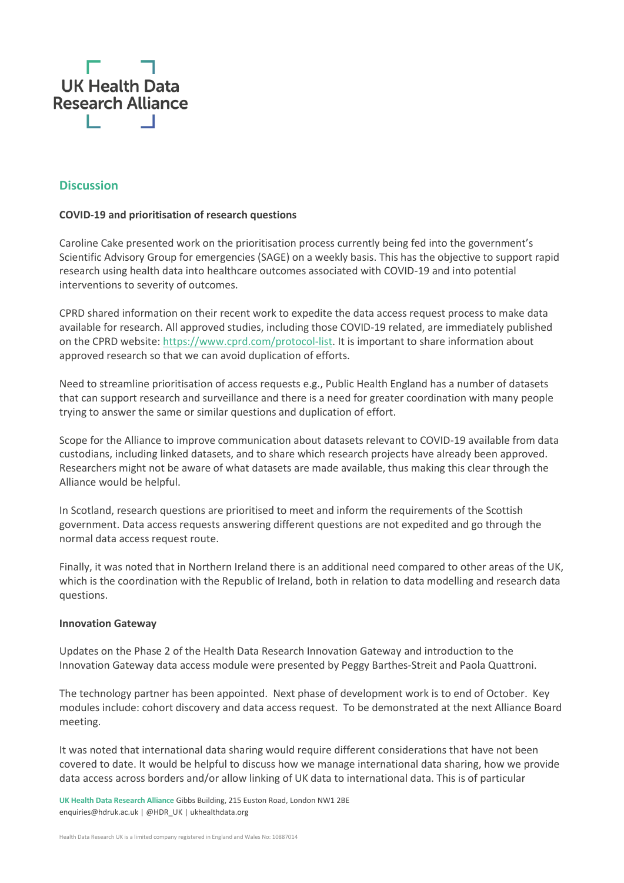

## **Discussion**

#### **COVID-19 and prioritisation of research questions**

Caroline Cake presented work on the prioritisation process currently being fed into the government's Scientific Advisory Group for emergencies (SAGE) on a weekly basis. This has the objective to support rapid research using health data into healthcare outcomes associated with COVID-19 and into potential interventions to severity of outcomes.

CPRD shared information on their recent work to expedite the data access request process to make data available for research. All approved studies, including those COVID-19 related, are immediately published on the CPRD website[: https://www.cprd.com/protocol-list.](https://www.cprd.com/protocol-list) It is important to share information about approved research so that we can avoid duplication of efforts.

Need to streamline prioritisation of access requests e.g., Public Health England has a number of datasets that can support research and surveillance and there is a need for greater coordination with many people trying to answer the same or similar questions and duplication of effort.

Scope for the Alliance to improve communication about datasets relevant to COVID-19 available from data custodians, including linked datasets, and to share which research projects have already been approved. Researchers might not be aware of what datasets are made available, thus making this clear through the Alliance would be helpful.

In Scotland, research questions are prioritised to meet and inform the requirements of the Scottish government. Data access requests answering different questions are not expedited and go through the normal data access request route.

Finally, it was noted that in Northern Ireland there is an additional need compared to other areas of the UK, which is the coordination with the Republic of Ireland, both in relation to data modelling and research data questions.

#### **Innovation Gateway**

Updates on the Phase 2 of the Health Data Research Innovation Gateway and introduction to the Innovation Gateway data access module were presented by Peggy Barthes-Streit and Paola Quattroni.

The technology partner has been appointed. Next phase of development work is to end of October. Key modules include: cohort discovery and data access request. To be demonstrated at the next Alliance Board meeting.

It was noted that international data sharing would require different considerations that have not been covered to date. It would be helpful to discuss how we manage international data sharing, how we provide data access across borders and/or allow linking of UK data to international data. This is of particular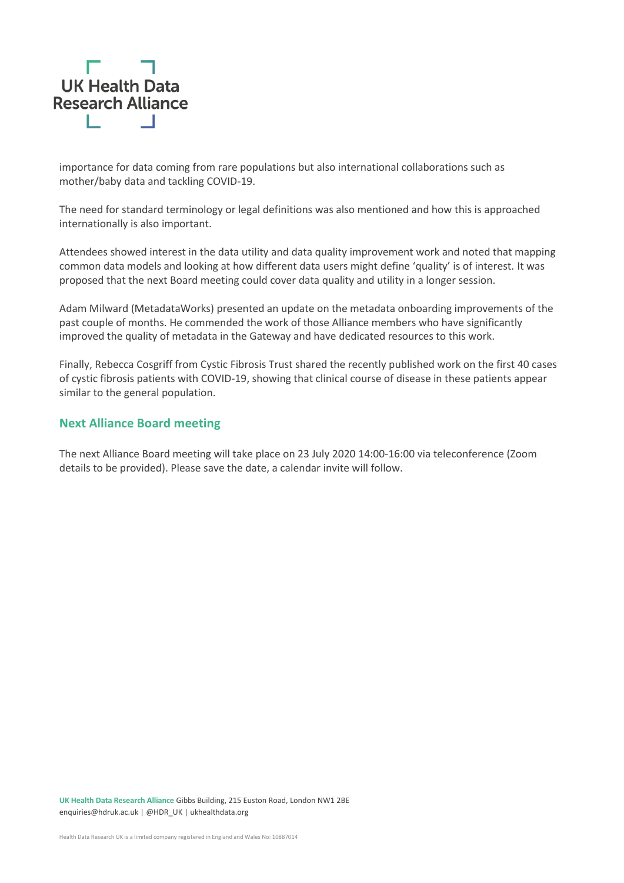

importance for data coming from rare populations but also international collaborations such as mother/baby data and tackling COVID-19.

The need for standard terminology or legal definitions was also mentioned and how this is approached internationally is also important.

Attendees showed interest in the data utility and data quality improvement work and noted that mapping common data models and looking at how different data users might define 'quality' is of interest. It was proposed that the next Board meeting could cover data quality and utility in a longer session.

Adam Milward (MetadataWorks) presented an update on the metadata onboarding improvements of the past couple of months. He commended the work of those Alliance members who have significantly improved the quality of metadata in the Gateway and have dedicated resources to this work.

Finally, Rebecca Cosgriff from Cystic Fibrosis Trust shared the recently published work on the first 40 cases of cystic fibrosis patients with COVID-19, showing that clinical course of disease in these patients appear similar to the general population.

## **Next Alliance Board meeting**

The next Alliance Board meeting will take place on 23 July 2020 14:00-16:00 via teleconference (Zoom details to be provided). Please save the date, a calendar invite will follow.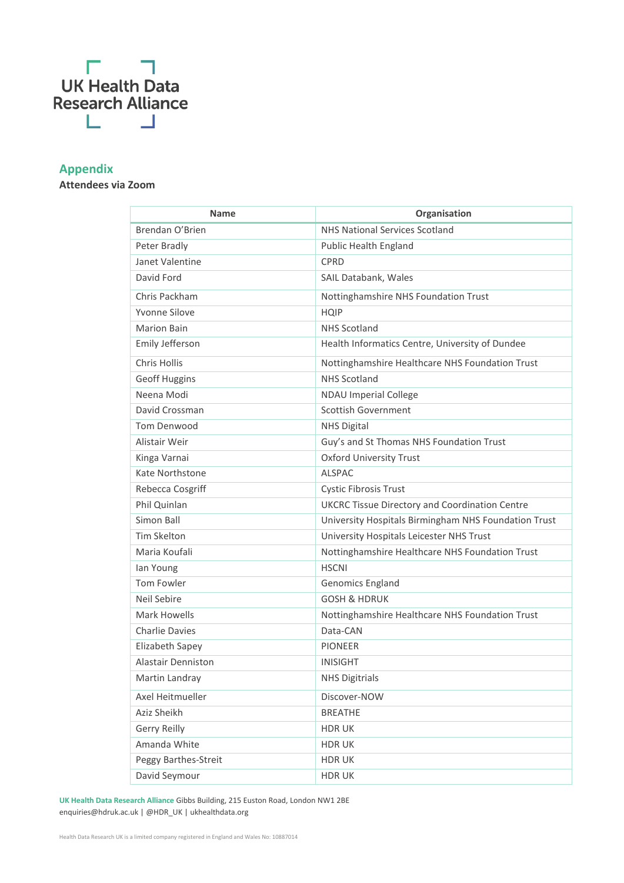# П  $\overline{a}$ **UK** Health Data<br>Research Alliance L - 1

# **Appendix**

# **Attendees via Zoom**

| <b>Name</b>            | Organisation                                          |
|------------------------|-------------------------------------------------------|
|                        |                                                       |
| Brendan O'Brien        | <b>NHS National Services Scotland</b>                 |
| Peter Bradly           | <b>Public Health England</b>                          |
| Janet Valentine        | <b>CPRD</b>                                           |
| David Ford             | SAIL Databank, Wales                                  |
| Chris Packham          | Nottinghamshire NHS Foundation Trust                  |
| Yvonne Silove          | <b>HQIP</b>                                           |
| <b>Marion Bain</b>     | <b>NHS Scotland</b>                                   |
| Emily Jefferson        | Health Informatics Centre, University of Dundee       |
| Chris Hollis           | Nottinghamshire Healthcare NHS Foundation Trust       |
| <b>Geoff Huggins</b>   | <b>NHS Scotland</b>                                   |
| Neena Modi             | <b>NDAU Imperial College</b>                          |
| David Crossman         | <b>Scottish Government</b>                            |
| <b>Tom Denwood</b>     | <b>NHS Digital</b>                                    |
| Alistair Weir          | Guy's and St Thomas NHS Foundation Trust              |
| Kinga Varnai           | <b>Oxford University Trust</b>                        |
| <b>Kate Northstone</b> | <b>ALSPAC</b>                                         |
| Rebecca Cosgriff       | Cystic Fibrosis Trust                                 |
| Phil Quinlan           | <b>UKCRC Tissue Directory and Coordination Centre</b> |
| Simon Ball             | University Hospitals Birmingham NHS Foundation Trust  |
| <b>Tim Skelton</b>     | University Hospitals Leicester NHS Trust              |
| Maria Koufali          | Nottinghamshire Healthcare NHS Foundation Trust       |
| lan Young              | <b>HSCNI</b>                                          |
| <b>Tom Fowler</b>      | Genomics England                                      |
| Neil Sebire            | <b>GOSH &amp; HDRUK</b>                               |
| Mark Howells           | Nottinghamshire Healthcare NHS Foundation Trust       |
| <b>Charlie Davies</b>  | Data-CAN                                              |
| Elizabeth Sapey        | <b>PIONEER</b>                                        |
| Alastair Denniston     | <b>INISIGHT</b>                                       |
| Martin Landray         | <b>NHS Digitrials</b>                                 |
| Axel Heitmueller       | Discover-NOW                                          |
| Aziz Sheikh            | <b>BREATHE</b>                                        |
| Gerry Reilly           | HDR UK                                                |
| Amanda White           | <b>HDRUK</b>                                          |
| Peggy Barthes-Streit   | <b>HDRUK</b>                                          |
| David Seymour          | <b>HDRUK</b>                                          |